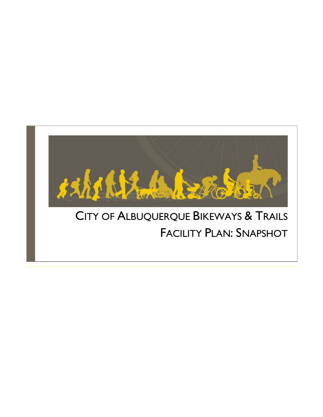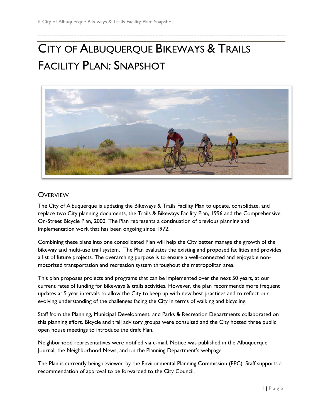# CITY OF ALBUQUERQUE BIKEWAYS & TRAILS FACILITY PLAN: SNAPSHOT



#### **OVERVIEW**

The City of Albuquerque is updating the Bikeways & Trails Facility Plan to update, consolidate, and replace two City planning documents, the Trails & Bikeways Facility Plan, 1996 and the Comprehensive On-Street Bicycle Plan, 2000. The Plan represents a continuation of previous planning and implementation work that has been ongoing since 1972.

Combining these plans into one consolidated Plan will help the City better manage the growth of the bikeway and multi-use trail system. The Plan evaluates the existing and proposed facilities and provides a list of future projects. The overarching purpose is to ensure a well-connected and enjoyable nonmotorized transportation and recreation system throughout the metropolitan area.

This plan proposes projects and programs that can be implemented over the next 50 years, at our current rates of funding for bikeways & trails activities. However, the plan recommends more frequent updates at 5 year intervals to allow the City to keep up with new best practices and to reflect our evolving understanding of the challenges facing the City in terms of walking and bicycling.

Staff from the Planning, Municipal Development, and Parks & Recreation Departments collaborated on this planning effort. Bicycle and trail advisory groups were consulted and the City hosted three public open house meetings to introduce the draft Plan.

Neighborhood representatives were notified via e-mail. Notice was published in the Albuquerque Journal, the Neighborhood News, and on the Planning Department's webpage.

The Plan is currently being reviewed by the Environmental Planning Commission (EPC). Staff supports a recommendation of approval to be forwarded to the City Council.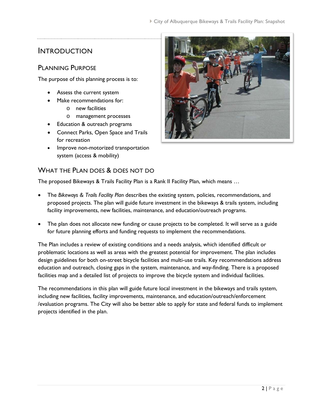# INTRODUCTION

#### PLANNING PURPOSE

The purpose of this planning process is to:

- Assess the current system
- Make recommendations for:
	- o new facilities
	- o management processes
- Education & outreach programs
- Connect Parks, Open Space and Trails for recreation
- Improve non-motorized transportation system (access & mobility)

# WHAT THE PLAN DOES & DOES NOT DO

The proposed Bikeways & Trails Facility Plan is a Rank II Facility Plan, which means …

- The *Bikeways & Trails Facility Plan* describes the existing system, policies, recommendations, and proposed projects. The plan will guide future investment in the bikeways & trails system, including facility improvements, new facilities, maintenance, and education/outreach programs.
- The plan does not allocate new funding or cause projects to be completed. It will serve as a guide for future planning efforts and funding requests to implement the recommendations.

The Plan includes a review of existing conditions and a needs analysis, which identified difficult or problematic locations as well as areas with the greatest potential for improvement. The plan includes design guidelines for both on-street bicycle facilities and multi-use trails. Key recommendations address education and outreach, closing gaps in the system, maintenance, and way-finding. There is a proposed facilities map and a detailed list of projects to improve the bicycle system and individual facilities.

The recommendations in this plan will guide future local investment in the bikeways and trails system, including new facilities, facility improvements, maintenance, and education/outreach/enforcement /evaluation programs. The City will also be better able to apply for state and federal funds to implement projects identified in the plan.

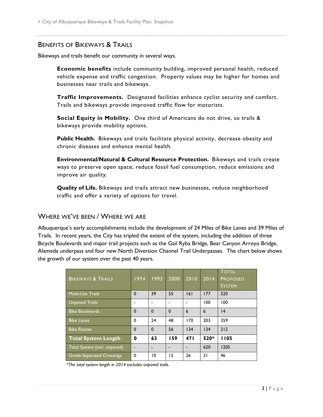#### BENEFITS OF BIKEWAYS & TRAILS

Bikeways and trails benefit our community in several ways.

**Economic benefits** include community building, improved personal health, reduced vehicle expense and traffic congestion. Property values may be higher for homes and businesses near trails and bikeways.

**Traffic Improvements.** Designated facilities enhance cyclist security and comfort. Trails and bikeways provide improved traffic flow for motorists.

**Social Equity in Mobility.** One third of Americans do not drive, so trails & bikeways provide mobility options.

**Public Health.** Bikeways and trails facilitate physical activity, decrease obesity and chronic diseases and enhance mental health.

**Environmental/Natural & Cultural Resource Protection.** Bikeways and trails create ways to preserve open space, reduce fossil fuel consumption, reduce emissions and improve air quality.

**Quality of Life.** Bikeways and trails attract new businesses, reduce neighborhood traffic and offer a variety of options for travel.

#### WHERE WE'VE BEEN / WHERE WE ARE

Albuquerque's early accomplishments include the development of 24 Miles of Bike Lanes and 39 Miles of Trails. In recent years, the City has tripled the extent of the system, including the addition of three Bicycle Boulevards and major trail projects such as the Gail Ryba Bridge, Bear Canyon Arroyo Bridge, Alameda underpass and four new North Diversion Channel Trail Underpasses. The chart below shows the growth of our system over the past 40 years.

| <b>BIKEWAYS &amp; TRAILS</b>     | 1974         | 1993        | 2000                     | 2010 | 2014            | <b>TOTAL</b><br><b>PROPOSED</b><br><b>SYSTEM</b> |
|----------------------------------|--------------|-------------|--------------------------|------|-----------------|--------------------------------------------------|
| <b>Multi-Use Trails</b>          | $\mathbf 0$  | 39          | 55                       | 6    | 177             | 520                                              |
| <b>Unpaved Trails</b>            |              |             | ۰                        |      | 100             | 100                                              |
| <b>Bike Boulevards</b>           | $\mathbf{0}$ | $\mathbf 0$ | $\Omega$                 | 6    | $6\phantom{1}6$ | 4                                                |
| <b>Bike Lanes</b>                | $\mathbf 0$  | 24          | 48                       | 170  | 203             | 359                                              |
| <b>Bike Routes</b>               | $\mathbf{0}$ | $\Omega$    | 56                       | 134  | 134             | 212                                              |
| <b>Total System Length</b>       | 0            | 63          | 159                      | 47 I | 520*            | 1105                                             |
| Total System (incl. unpaved)     |              |             | $\overline{\phantom{0}}$ |      | 620             | 1205                                             |
| <b>Grade-Separated Crossings</b> | $\mathbf 0$  | 10          | 15                       | 26   | 31              | 46                                               |

*\*The total system length in 2014 excludes unpaved trails.*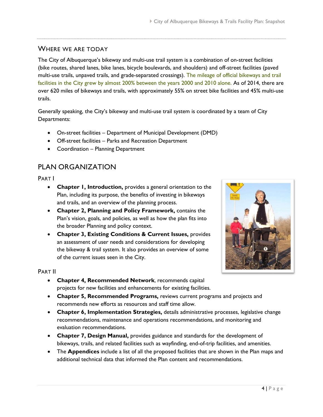## WHERE WE ARE TODAY

The City of Albuquerque's bikeway and multi-use trail system is a combination of on-street facilities (bike routes, shared lanes, bike lanes, bicycle boulevards, and shoulders) and off-street facilities (paved multi-use trails, unpaved trails, and grade-separated crossings). The mileage of official bikeways and trail facilities in the City grew by almost 200% between the years 2000 and 2010 alone. As of 2014, there are over 620 miles of bikeways and trails, with approximately 55% on street bike facilities and 45% multi-use trails.

Generally speaking, the City's bikeway and multi-use trail system is coordinated by a team of City Departments:

- On-street facilities Department of Municipal Development (DMD)
- Off-street facilities Parks and Recreation Department
- Coordination Planning Department

# PLAN ORGANIZATION

PART I

- **Chapter 1, Introduction,** provides a general orientation to the Plan, including its purpose, the benefits of investing in bikeways and trails, and an overview of the planning process.
- **Chapter 2, Planning and Policy Framework,** contains the Plan's vision, goals, and policies, as well as how the plan fits into the broader Planning and policy context.
- **Chapter 3, Existing Conditions & Current Issues,** provides an assessment of user needs and considerations for developing the bikeway & trail system. It also provides an overview of some of the current issues seen in the City.



PART II

- **Chapter 4, Recommended Network**, recommends capital projects for new facilities and enhancements for existing facilities.
- **Chapter 5, Recommended Programs,** reviews current programs and projects and recommends new efforts as resources and staff time allow.
- **Chapter 6, Implementation Strategies,** details administrative processes, legislative change recommendations, maintenance and operations recommendations, and monitoring and evaluation recommendations.
- **Chapter 7, Design Manual,** provides guidance and standards for the development of bikeways, trails, and related facilities such as wayfinding, end-of-trip facilities, and amenities.
- The **Appendices** include a list of all the proposed facilities that are shown in the Plan maps and additional technical data that informed the Plan content and recommendations.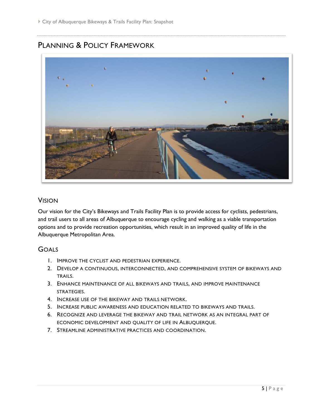# PLANNING & POLICY FRAMEWORK



#### VISION

Our vision for the City's Bikeways and Trails Facility Plan is to provide access for cyclists, pedestrians, and trail users to all areas of Albuquerque to encourage cycling and walking as a viable transportation options and to provide recreation opportunities, which result in an improved quality of life in the Albuquerque Metropolitan Area.

#### **GOALS**

- 1. IMPROVE THE CYCLIST AND PEDESTRIAN EXPERIENCE.
- 2. DEVELOP A CONTINUOUS, INTERCONNECTED, AND COMPREHENSIVE SYSTEM OF BIKEWAYS AND TRAILS.
- 3. ENHANCE MAINTENANCE OF ALL BIKEWAYS AND TRAILS, AND IMPROVE MAINTENANCE STRATEGIES.
- 4. INCREASE USE OF THE BIKEWAY AND TRAILS NETWORK.
- 5. INCREASE PUBLIC AWARENESS AND EDUCATION RELATED TO BIKEWAYS AND TRAILS.
- 6. RECOGNIZE AND LEVERAGE THE BIKEWAY AND TRAIL NETWORK AS AN INTEGRAL PART OF ECONOMIC DEVELOPMENT AND QUALITY OF LIFE IN ALBUQUERQUE.
- 7. STREAMLINE ADMINISTRATIVE PRACTICES AND COORDINATION.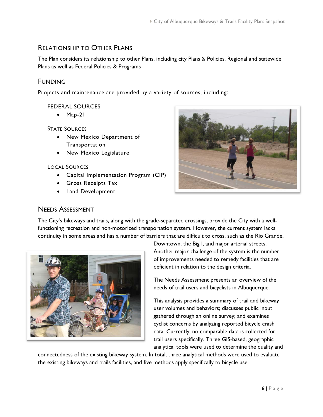# RELATIONSHIP TO OTHER PLANS

The Plan considers its relationship to other Plans, including city Plans & Policies, Regional and statewide Plans as well as Federal Policies & Programs

# FUNDING

Projects and maintenance are provided by a variety of sources, including:

#### FEDERAL SOURCES

• Map-21

#### STATE SOURCES

- New Mexico Department of Transportation
- New Mexico Legislature

#### LOCAL SOURCES

- Capital Implementation Program (CIP)
- Gross Receipts Tax
- Land Development



#### NEEDS ASSESSMENT

The City's bikeways and trails, along with the grade-separated crossings, provide the City with a wellfunctioning recreation and non-motorized transportation system. However, the current system lacks continuity in some areas and has a number of barriers that are difficult to cross, such as the Rio Grande,



Downtown, the Big I, and major arterial streets. Another major challenge of the system is the number of improvements needed to remedy facilities that are deficient in relation to the design criteria.

The Needs Assessment presents an overview of the needs of trail users and bicyclists in Albuquerque.

This analysis provides a summary of trail and bikeway user volumes and behaviors; discusses public input gathered through an online survey; and examines cyclist concerns by analyzing reported bicycle crash data. Currently, no comparable data is collected for trail users specifically. Three GIS-based, geographic analytical tools were used to determine the quality and

connectedness of the existing bikeway system. In total, three analytical methods were used to evaluate the existing bikeways and trails facilities, and five methods apply specifically to bicycle use.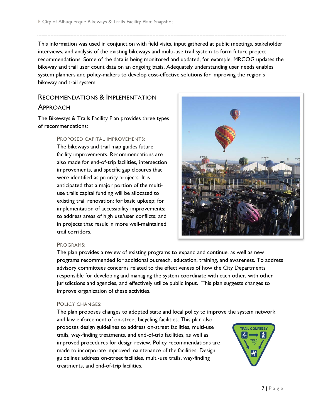This information was used in conjunction with field visits, input gathered at public meetings, stakeholder interviews, and analysis of the existing bikeways and multi-use trail system to form future project recommendations. Some of the data is being monitored and updated, for example, MRCOG updates the bikeway and trail user count data on an ongoing basis. Adequately understanding user needs enables system planners and policy-makers to develop cost-effective solutions for improving the region's bikeway and trail system.

# RECOMMENDATIONS & IMPLEMENTATION APPROACH

The Bikeways & Trails Facility Plan provides three types of recommendations:

> PROPOSED CAPITAL IMPROVEMENTS: The bikeways and trail map guides future facility improvements. Recommendations are also made for end-of-trip facilities, intersection improvements, and specific gap closures that were identified as priority projects. It is anticipated that a major portion of the multiuse trails capital funding will be allocated to existing trail renovation: for basic upkeep; for implementation of accessibility improvements; to address areas of high use/user conflicts; and in projects that result in more well-maintained trail corridors.



#### PROGRAMS:

The plan provides a review of existing programs to expand and continue, as well as new programs recommended for additional outreach, education, training, and awareness. To address advisory committees concerns related to the effectiveness of how the City Departments responsible for developing and managing the system coordinate with each other, with other jurisdictions and agencies, and effectively utilize public input. This plan suggests changes to improve organization of these activities.

#### POLICY CHANGES:

The plan proposes changes to adopted state and local policy to improve the system network and law enforcement of on-street bicycling facilities. This plan also proposes design guidelines to address on-street facilities, multi-use **TRAIL COURTESY** trails, way-finding treatments, and end-of-trip facilities, as well as > ₩ YIELD improved procedures for design review. Policy recommendations are made to incorporate improved maintenance of the facilities. Design guidelines address on-street facilities, multi-use trails, way-finding treatments, and end-of-trip facilities.

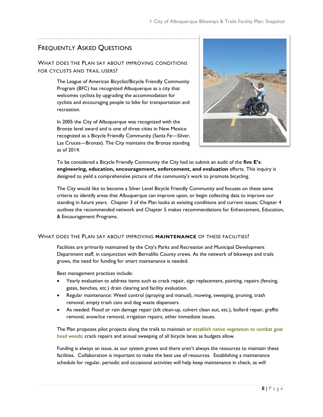# FREQUENTLY ASKED QUESTIONS

#### WHAT DOES THE PLAN SAY ABOUT IMPROVING CONDITIONS FOR CYCLISTS AND TRAIL USERS?

The League of American Bicyclist/Bicycle Friendly Community Program (BFC) has recognized Albuquerque as a city that welcomes cyclists by upgrading the accommodation for cyclists and encouraging people to bike for transportation and recreation.

In 2005 the City of Albuquerque was recognized with the Bronze level award and is one of three cities in New Mexico recognized as a Bicycle Friendly Community (Santa Fe—Silver, Las Cruces—Bronze). The City maintains the Bronze standing as of 2014.



To be considered a Bicycle Friendly Community the City had to submit an audit of the **five E's**: **engineering, education, encouragement, enforcement, and evaluation** efforts. This inquiry is designed to yield a comprehensive picture of the community's work to promote bicycling.

The City would like to become a Silver Level Bicycle Friendly Community and focuses on these same criteria to identify areas that Albuquerque can improve upon, or begin collecting data to improve our standing in future years. Chapter 3 of the Plan looks at existing conditions and current issues; Chapter 4 outlines the recommended network and Chapter 5 makes recommendations for Enhancement, Education, & Encouragement Programs.

#### WHAT DOES THE PLAN SAY ABOUT IMPROVING **MAINTENANCE** OF THESE FACILITIES?

Facilities are primarily maintained by the City's Parks and Recreation and Municipal Development Department staff, in conjunction with Bernalillo County crews. As the network of bikeways and trails grows, the need for funding for smart maintenance is needed.

Best management practices include:

- Yearly evaluation to address items such as crack repair, sign replacement, painting, repairs (fencing, gates, benches, etc.) drain clearing and facility evaluation.
- Regular maintenance: Weed control (spraying and manual), mowing, sweeping, pruning, trash removal, empty trash cans and dog waste dispensers.
- As needed: Flood or rain damage repair (silt clean-up, culvert clean out, etc.), bollard repair, graffiti removal, snow/ice removal, irrigation repairs, other immediate issues.

The Plan proposes pilot projects along the trails to maintain or establish native vegetation to combat goat head weeds; crack repairs and annual sweeping of all bicycle lanes as budgets allow.

Funding is always an issue, as our system grows and there aren't always the resources to maintain these facilities. Collaboration is important to make the best use of resources. Establishing a maintenance schedule for regular, periodic and occasional activities will help keep maintenance in check, as will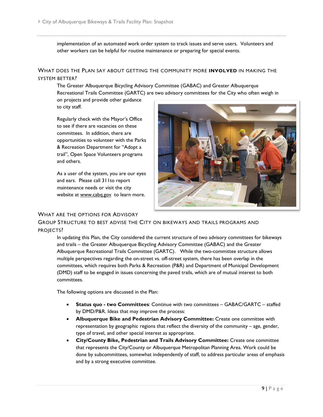implementation of an automated work order system to track issues and serve users. Volunteers and other workers can be helpful for routine maintenance or preparing for special events.

#### WHAT DOES THE PLAN SAY ABOUT GETTING THE COMMUNITY MORE **INVOLVED** IN MAKING THE SYSTEM BETTER?

The Greater Albuquerque Bicycling Advisory Committee (GABAC) and Greater Albuquerque Recreational Trails Committee (GARTC) are two advisory committees for the City who often weigh in on projects and provide other guidance

to city staff.

Regularly check with the Mayor's Office to see if there are vacancies on these committees. In addition, there are opportunities to volunteer with the Parks & Recreation Department for "Adopt a trail", Open Space Volunteers programs and others.

As a user of the system, you are our eyes and ears. Please call 311to report maintenance needs or visit the city website at [www.cabq.gov](http://www.cabq.gov/) to learn more.



#### WHAT ARE THE OPTIONS FOR ADVISORY

GROUP STRUCTURE TO BEST ADVISE THE CITY ON BIKEWAYS AND TRAILS PROGRAMS AND PROJECTS?

In updating this Plan, the City considered the current structure of two advisory committees for bikeways and trails – the Greater Albuquerque Bicycling Advisory Committee (GABAC) and the Greater Albuquerque Recreational Trails Committee (GARTC). While the two-committee structure allows multiple perspectives regarding the on-street vs. off-street system, there has been overlap in the committees, which requires both Parks & Recreation (P&R) and Department of Municipal Development (DMD) staff to be engaged in issues concerning the paved trails, which are of mutual interest to both committees.

The following options are discussed in the Plan:

- **Status quo - two Committees**: Continue with two committees GABAC/GARTC staffed by DMD/P&R. Ideas that may improve the process:
- **Albuquerque Bike and Pedestrian Advisory Committee:** Create one committee with representation by geographic regions that reflect the diversity of the community – age, gender, type of travel, and other special interest as appropriate.
- **City/County Bike, Pedestrian and Trails Advisory Committee:** Create one committee that represents the City/County or Albuquerque Metropolitan Planning Area. Work could be done by subcommittees, somewhat independently of staff, to address particular areas of emphasis and by a strong executive committee.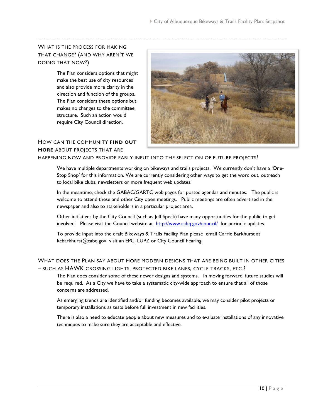#### WHAT IS THE PROCESS FOR MAKING THAT CHANGE? (AND WHY AREN'T WE DOING THAT NOW?)

The Plan considers options that might make the best use of city resources and also provide more clarity in the direction and function of the groups. The Plan considers these options but makes no changes to the committee structure. Such an action would require City Council direction.



#### HOW CAN THE COMMUNITY **FIND OUT MORE** ABOUT PROJECTS THAT ARE

HAPPENING NOW AND PROVIDE EARLY INPUT INTO THE SELECTION OF FUTURE PROJECTS?

We have multiple departments working on bikeways and trails projects. We currently don't have a 'One-Stop Shop' for this information. We are currently considering other ways to get the word out, outreach to local bike clubs, newsletters or more frequent web updates.

In the meantime, check the GABAC/GARTC web pages for posted agendas and minutes. The public is welcome to attend these and other City open meetings. Public meetings are often advertised in the newspaper and also to stakeholders in a particular project area.

Other initiatives by the City Council (such as Jeff Speck) have many opportunities for the public to get involved. Please visit the Council website at <http://www.cabq.gov/council/>for periodic updates.

To provide input into the draft Bikeways & Trails Facility Plan please email Carrie Barkhurst at kcbarkhurst@cabq.gov visit an EPC, LUPZ or City Council hearing.

#### WHAT DOES THE PLAN SAY ABOUT MORE MODERN DESIGNS THAT ARE BEING BUILT IN OTHER CITIES – SUCH AS HAWK CROSSING LIGHTS, PROTECTED BIKE LANES, CYCLE TRACKS, ETC.?

The Plan does consider some of these newer designs and systems. In moving forward, future studies will be required. As a City we have to take a systematic city-wide approach to ensure that all of those concerns are addressed.

As emerging trends are identified and/or funding becomes available, we may consider pilot projects or temporary installations as tests before full investment in new facilities.

There is also a need to educate people about new measures and to evaluate installations of any innovative techniques to make sure they are acceptable and effective.